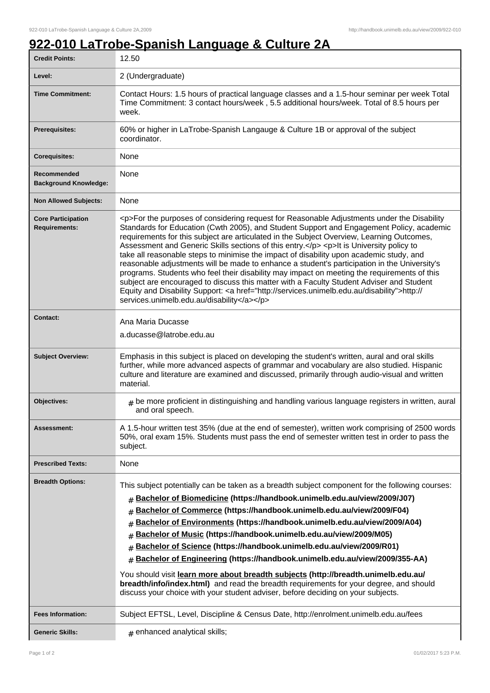## **922-010 LaTrobe-Spanish Language & Culture 2A**

| <b>Credit Points:</b>                             | 12.50                                                                                                                                                                                                                                                                                                                                                                                                                                                                                                                                                                                                                                                                                                                                                                                                                                                                                                                        |
|---------------------------------------------------|------------------------------------------------------------------------------------------------------------------------------------------------------------------------------------------------------------------------------------------------------------------------------------------------------------------------------------------------------------------------------------------------------------------------------------------------------------------------------------------------------------------------------------------------------------------------------------------------------------------------------------------------------------------------------------------------------------------------------------------------------------------------------------------------------------------------------------------------------------------------------------------------------------------------------|
| Level:                                            | 2 (Undergraduate)                                                                                                                                                                                                                                                                                                                                                                                                                                                                                                                                                                                                                                                                                                                                                                                                                                                                                                            |
| <b>Time Commitment:</b>                           | Contact Hours: 1.5 hours of practical language classes and a 1.5-hour seminar per week Total<br>Time Commitment: 3 contact hours/week, 5.5 additional hours/week. Total of 8.5 hours per<br>week.                                                                                                                                                                                                                                                                                                                                                                                                                                                                                                                                                                                                                                                                                                                            |
| <b>Prerequisites:</b>                             | 60% or higher in LaTrobe-Spanish Langauge & Culture 1B or approval of the subject<br>coordinator.                                                                                                                                                                                                                                                                                                                                                                                                                                                                                                                                                                                                                                                                                                                                                                                                                            |
| <b>Corequisites:</b>                              | None                                                                                                                                                                                                                                                                                                                                                                                                                                                                                                                                                                                                                                                                                                                                                                                                                                                                                                                         |
| Recommended<br><b>Background Knowledge:</b>       | None                                                                                                                                                                                                                                                                                                                                                                                                                                                                                                                                                                                                                                                                                                                                                                                                                                                                                                                         |
| <b>Non Allowed Subjects:</b>                      | None                                                                                                                                                                                                                                                                                                                                                                                                                                                                                                                                                                                                                                                                                                                                                                                                                                                                                                                         |
| <b>Core Participation</b><br><b>Requirements:</b> | <p>For the purposes of considering request for Reasonable Adjustments under the Disability<br/>Standards for Education (Cwth 2005), and Student Support and Engagement Policy, academic<br/>requirements for this subject are articulated in the Subject Overview, Learning Outcomes,<br/>Assessment and Generic Skills sections of this entry.</p> <p>lt is University policy to<br/>take all reasonable steps to minimise the impact of disability upon academic study, and<br/>reasonable adjustments will be made to enhance a student's participation in the University's<br/>programs. Students who feel their disability may impact on meeting the requirements of this<br/>subject are encouraged to discuss this matter with a Faculty Student Adviser and Student<br/>Equity and Disability Support: &lt; a href="http://services.unimelb.edu.au/disability"&gt;http://<br/>services.unimelb.edu.au/disability</p> |
| <b>Contact:</b>                                   | Ana Maria Ducasse                                                                                                                                                                                                                                                                                                                                                                                                                                                                                                                                                                                                                                                                                                                                                                                                                                                                                                            |
|                                                   | a.ducasse@latrobe.edu.au                                                                                                                                                                                                                                                                                                                                                                                                                                                                                                                                                                                                                                                                                                                                                                                                                                                                                                     |
| <b>Subject Overview:</b>                          | Emphasis in this subject is placed on developing the student's written, aural and oral skills<br>further, while more advanced aspects of grammar and vocabulary are also studied. Hispanic<br>culture and literature are examined and discussed, primarily through audio-visual and written<br>material.                                                                                                                                                                                                                                                                                                                                                                                                                                                                                                                                                                                                                     |
| Objectives:                                       | $_{\text{\#}}$ be more proficient in distinguishing and handling various language registers in written, aural<br>and oral speech.                                                                                                                                                                                                                                                                                                                                                                                                                                                                                                                                                                                                                                                                                                                                                                                            |
| Assessment:                                       | A 1.5-hour written test 35% (due at the end of semester), written work comprising of 2500 words<br>50%, oral exam 15%. Students must pass the end of semester written test in order to pass the<br>subject.                                                                                                                                                                                                                                                                                                                                                                                                                                                                                                                                                                                                                                                                                                                  |
| <b>Prescribed Texts:</b>                          | None                                                                                                                                                                                                                                                                                                                                                                                                                                                                                                                                                                                                                                                                                                                                                                                                                                                                                                                         |
| <b>Breadth Options:</b>                           | This subject potentially can be taken as a breadth subject component for the following courses:<br>Bachelor of Biomedicine (https://handbook.unimelb.edu.au/view/2009/J07)<br>#<br>Bachelor of Commerce (https://handbook.unimelb.edu.au/view/2009/F04)<br>#<br>Bachelor of Environments (https://handbook.unimelb.edu.au/view/2009/A04)<br>#<br>Bachelor of Music (https://handbook.unimelb.edu.au/view/2009/M05)<br>#<br>Bachelor of Science (https://handbook.unimelb.edu.au/view/2009/R01)<br>#<br>Bachelor of Engineering (https://handbook.unimelb.edu.au/view/2009/355-AA)<br>#<br>You should visit learn more about breadth subjects (http://breadth.unimelb.edu.au/<br>breadth/info/index.html) and read the breadth requirements for your degree, and should<br>discuss your choice with your student adviser, before deciding on your subjects.                                                                   |
| <b>Fees Information:</b>                          | Subject EFTSL, Level, Discipline & Census Date, http://enrolment.unimelb.edu.au/fees                                                                                                                                                                                                                                                                                                                                                                                                                                                                                                                                                                                                                                                                                                                                                                                                                                         |
| <b>Generic Skills:</b>                            | $#$ enhanced analytical skills;                                                                                                                                                                                                                                                                                                                                                                                                                                                                                                                                                                                                                                                                                                                                                                                                                                                                                              |